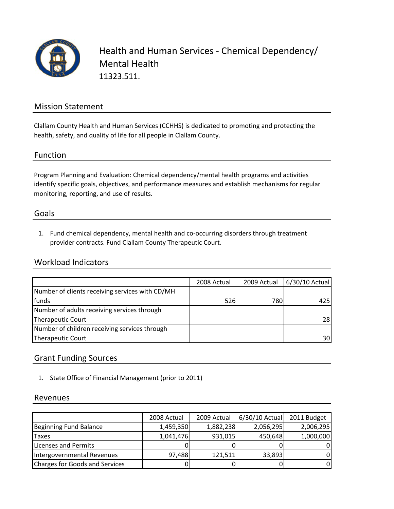

Health and Human Services ‐ Chemical Dependency/ Mental Health 11323.511.

### Mission Statement

Clallam County Health and Human Services (CCHHS) is dedicated to promoting and protecting the health, safety, and quality of life for all people in Clallam County.

### Function

Program Planning and Evaluation: Chemical dependency/mental health programs and activities identify specific goals, objectives, and performance measures and establish mechanisms for regular monitoring, reporting, and use of results.

#### Goals

1. Fund chemical dependency, mental health and co‐occurring disorders through treatment provider contracts. Fund Clallam County Therapeutic Court.

### Workload Indicators

|                                                 | 2008 Actual | 2009 Actual | 6/30/10 Actual |
|-------------------------------------------------|-------------|-------------|----------------|
| Number of clients receiving services with CD/MH |             |             |                |
| funds                                           | <b>526</b>  | 780         | 425            |
| Number of adults receiving services through     |             |             |                |
| Therapeutic Court                               |             |             | 28             |
| Number of children receiving services through   |             |             |                |
| Therapeutic Court                               |             |             | 30             |

### Grant Funding Sources

1. State Office of Financial Management (prior to 2011)

#### Revenues

|                                       | 2008 Actual | 2009 Actual | 6/30/10 Actual | 2011 Budget |
|---------------------------------------|-------------|-------------|----------------|-------------|
| <b>Beginning Fund Balance</b>         | 1,459,350   | 1,882,238   | 2,056,295      | 2,006,295   |
| Taxes                                 | 1,041,476   | 931,015     | 450,648        | 1,000,000   |
| Licenses and Permits                  |             |             |                | 0           |
| Intergovernmental Revenues            | 97,488      | 121,511     | 33,893         | 0           |
| <b>Charges for Goods and Services</b> |             |             |                | 0           |